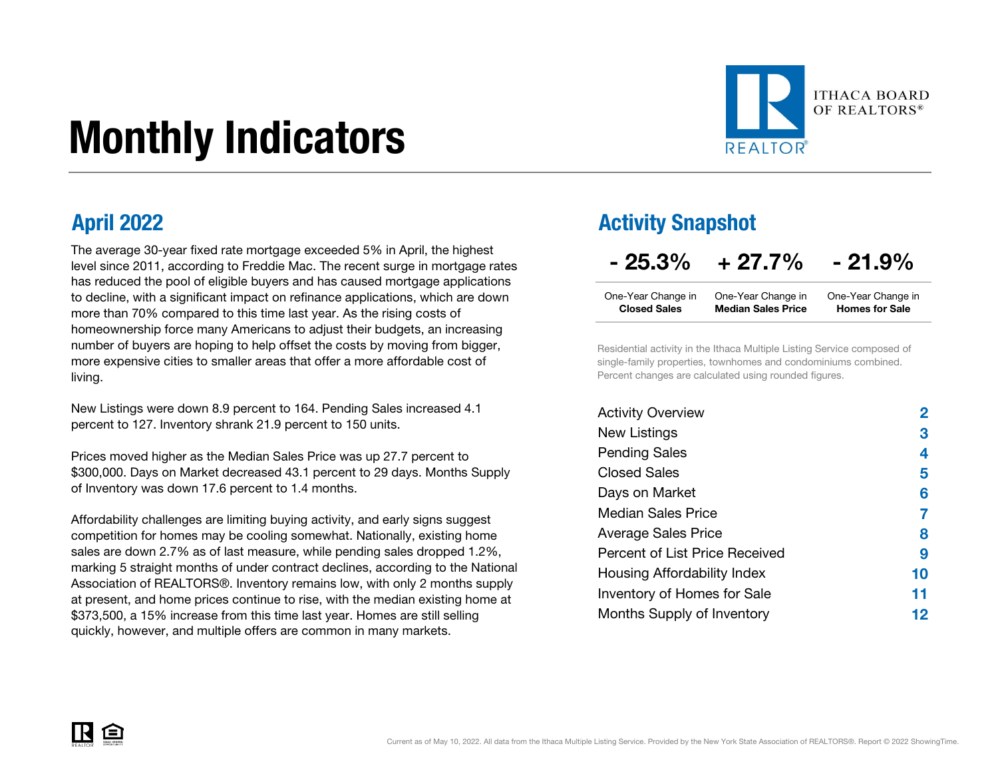# Monthly Indicators



The average 30-year fixed rate mortgage exceeded 5% in April, the highest level since 2011, according to Freddie Mac. The recent surge in mortgage rates has reduced the pool of eligible buyers and has caused mortgage applications to decline, with a significant impact on refinance applications, which are down more than 70% compared to this time last year. As the rising costs of homeownership force many Americans to adjust their budgets, an increasing number of buyers are hoping to help offset the costs by moving from bigger, more expensive cities to smaller areas that offer a more affordable cost of living.

New Listings were down 8.9 percent to 164. Pending Sales increased 4.1 percent to 127. Inventory shrank 21.9 percent to 150 units.

Prices moved higher as the Median Sales Price was up 27.7 percent to \$300,000. Days on Market decreased 43.1 percent to 29 days. Months Supply of Inventory was down 17.6 percent to 1.4 months.

Affordability challenges are limiting buying activity, and early signs suggest competition for homes may be cooling somewhat. Nationally, existing home sales are down 2.7% as of last measure, while pending sales dropped 1.2%, marking 5 straight months of under contract declines, according to the National Association of REALTORS®. Inventory remains low, with only 2 months supply at present, and home prices continue to rise, with the median existing home at \$373,500, a 15% increase from this time last year. Homes are still selling quickly, however, and multiple offers are common in many markets.

### April 2022 Activity Snapshot

| $-25.3%$ | $+27.7%$ | $-21.9%$ |
|----------|----------|----------|
|----------|----------|----------|

| One-Year Change in  | One-Year Change in        | One-Year Change in    |
|---------------------|---------------------------|-----------------------|
| <b>Closed Sales</b> | <b>Median Sales Price</b> | <b>Homes for Sale</b> |

Residential activity in the Ithaca Multiple Listing Service composed of single-family properties, townhomes and condominiums combined. Percent changes are calculated using rounded figures.

| <b>Activity Overview</b>       |    |
|--------------------------------|----|
| New Listings                   | З  |
| <b>Pending Sales</b>           | 4  |
| <b>Closed Sales</b>            | 5  |
| Days on Market                 | 6  |
| Median Sales Price             |    |
| <b>Average Sales Price</b>     | 8  |
| Percent of List Price Received | 9  |
| Housing Affordability Index    | 10 |
| Inventory of Homes for Sale    | 11 |
| Months Supply of Inventory     | 12 |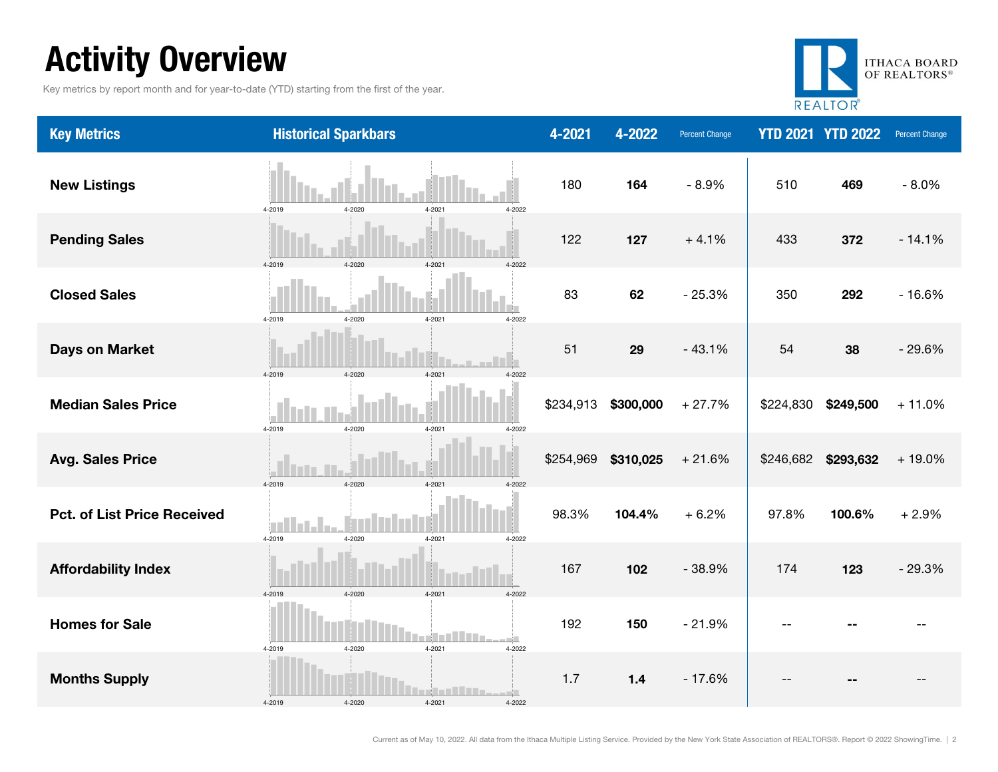### Activity Overview

Key metrics by report month and for year-to-date (YTD) starting from the first of the year.



| <b>Key Metrics</b>                 | <b>Historical Sparkbars</b>                                | 4-2021    | 4-2022    | <b>Percent Change</b> |           | <b>YTD 2021 YTD 2022</b> | Percent Change |
|------------------------------------|------------------------------------------------------------|-----------|-----------|-----------------------|-----------|--------------------------|----------------|
| <b>New Listings</b>                | 4-2022<br>4-2019<br>4-2020<br>4-2021                       | 180       | 164       | $-8.9%$               | 510       | 469                      | $-8.0%$        |
| <b>Pending Sales</b>               | 4-2020<br>4-2021<br>4-2022<br>4-2019                       | 122       | 127       | $+4.1%$               | 433       | 372                      | $-14.1%$       |
| <b>Closed Sales</b>                | 4-2019<br>4-2020<br>4-2021<br>4-2022                       | 83        | 62        | $-25.3%$              | 350       | 292                      | $-16.6%$       |
| <b>Days on Market</b>              | $4 - 2020$<br>4-2019<br>4-2021<br>4-2022                   | 51        | 29        | $-43.1%$              | 54        | 38                       | $-29.6%$       |
| <b>Median Sales Price</b>          | 4-2019<br>4-2020<br>4-2021<br>4-2022                       | \$234,913 | \$300,000 | $+27.7%$              | \$224,830 | \$249,500                | $+11.0%$       |
| <b>Avg. Sales Price</b>            | 4-2020<br>4-2019<br>4-2021<br>4-2022                       | \$254,969 | \$310,025 | $+21.6%$              | \$246,682 | \$293,632                | $+19.0%$       |
| <b>Pct. of List Price Received</b> | m<br>4-2019<br>4-2020<br>$4 - 2021$<br>4-2022              | 98.3%     | 104.4%    | $+6.2%$               | 97.8%     | 100.6%                   | $+2.9%$        |
| <b>Affordability Index</b>         | 4-2020<br>4-2021<br>4-2019<br>4-2022                       | 167       | 102       | $-38.9%$              | 174       | 123                      | $-29.3%$       |
| <b>Homes for Sale</b>              | 4-2020<br>$4 - 2021$<br>4-2022<br>4-2019                   | 192       | 150       | $-21.9%$              | $-$       |                          |                |
| <b>Months Supply</b>               | i Basil an Biblian<br>4-2019<br>4-2020<br>4-2021<br>4-2022 | 1.7       | $1.4$     | $-17.6%$              |           |                          |                |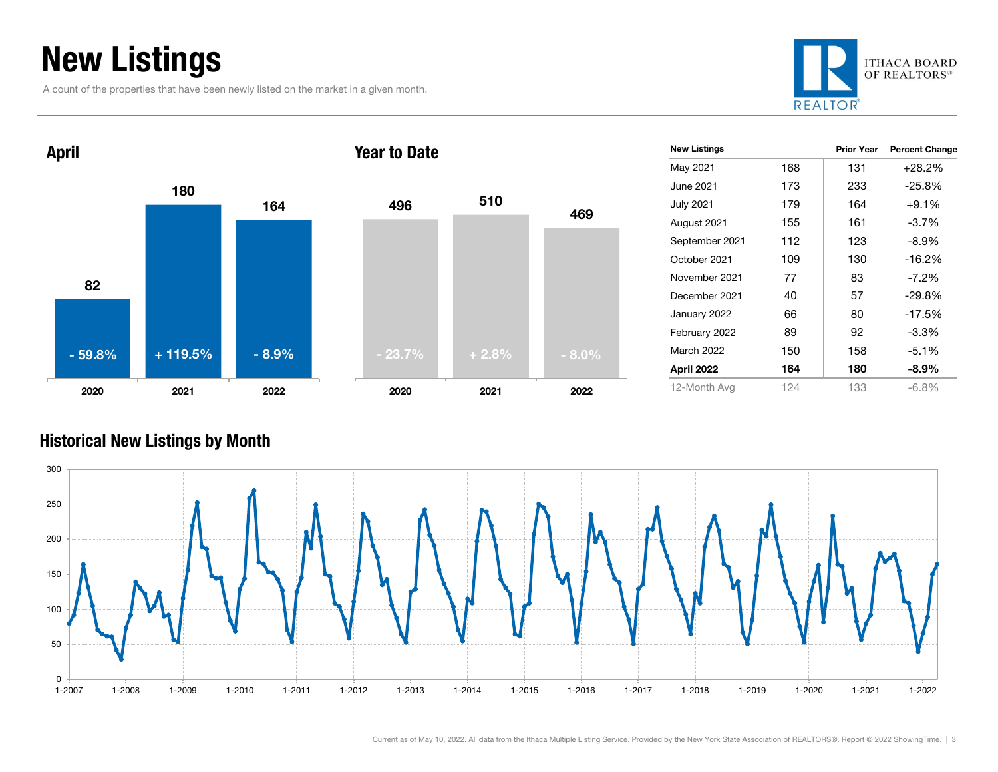### New Listings

A count of the properties that have been newly listed on the market in a given month.





| <b>New Listings</b> |     | <b>Prior Year</b> | <b>Percent Change</b> |
|---------------------|-----|-------------------|-----------------------|
|                     |     |                   |                       |
| May 2021            | 168 | 131               | $+28.2%$              |
| June 2021           | 173 | 233               | $-25.8%$              |
| <b>July 2021</b>    | 179 | 164               | $+9.1%$               |
| August 2021         | 155 | 161               | $-3.7\%$              |
| September 2021      | 112 | 123               | $-8.9\%$              |
| October 2021        | 109 | 130               | $-16.2%$              |
| November 2021       | 77  | 83                | $-7.2\%$              |
| December 2021       | 40  | 57                | $-29.8%$              |
| January 2022        | 66  | 80                | $-17.5%$              |
| February 2022       | 89  | 92                | $-3.3\%$              |
| March 2022          | 150 | 158               | $-5.1%$               |
| April 2022          | 164 | 180               | $-8.9\%$              |
| 12-Month Avg        | 124 | 133               | $-6.8%$               |

### Historical New Listings by Month

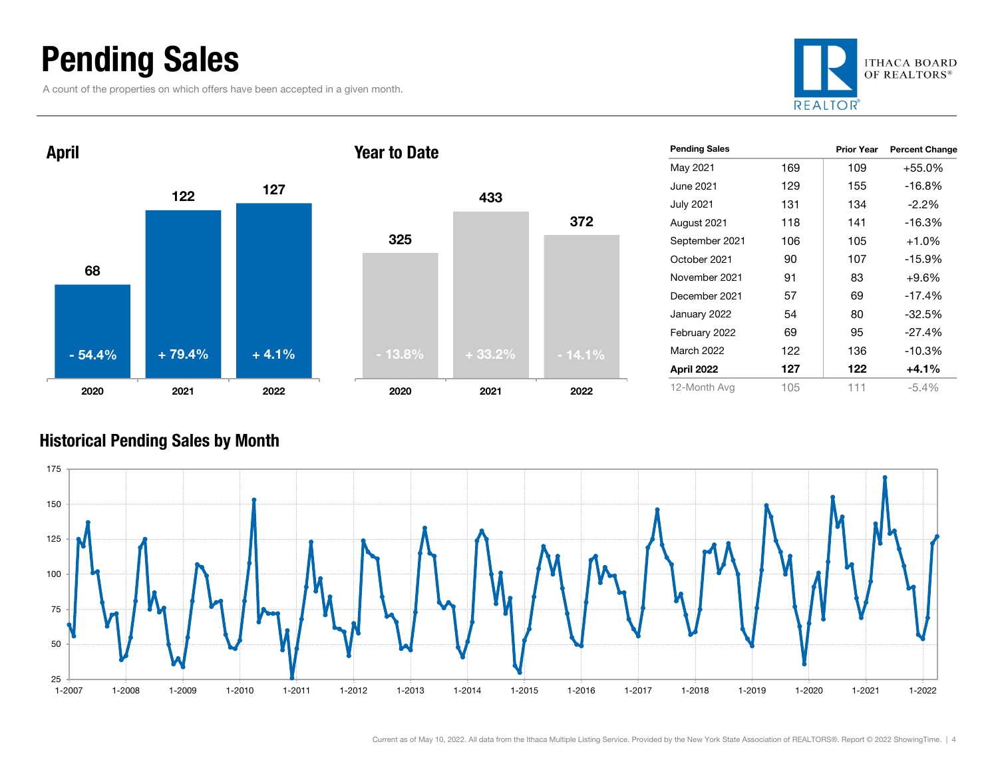### Pending Sales

A count of the properties on which offers have been accepted in a given month.







| <b>Pending Sales</b> |     | <b>Prior Year</b> | <b>Percent Change</b> |
|----------------------|-----|-------------------|-----------------------|
| May 2021             | 169 | 109               | $+55.0%$              |
| June 2021            | 129 | 155               | $-16.8%$              |
| <b>July 2021</b>     | 131 | 134               | $-2.2\%$              |
| August 2021          | 118 | 141               | $-16.3%$              |
| September 2021       | 106 | 105               | $+1.0\%$              |
| October 2021         | 90  | 107               | $-15.9%$              |
| November 2021        | 91  | 83                | $+9.6%$               |
| December 2021        | 57  | 69                | $-17.4%$              |
| January 2022         | 54  | 80                | $-32.5%$              |
| February 2022        | 69  | 95                | $-27.4%$              |
| March 2022           | 122 | 136               | $-10.3%$              |
| April 2022           | 127 | 122               | $+4.1%$               |
| 12-Month Avg         | 105 | 111               | $-5.4\%$              |

#### Historical Pending Sales by Month

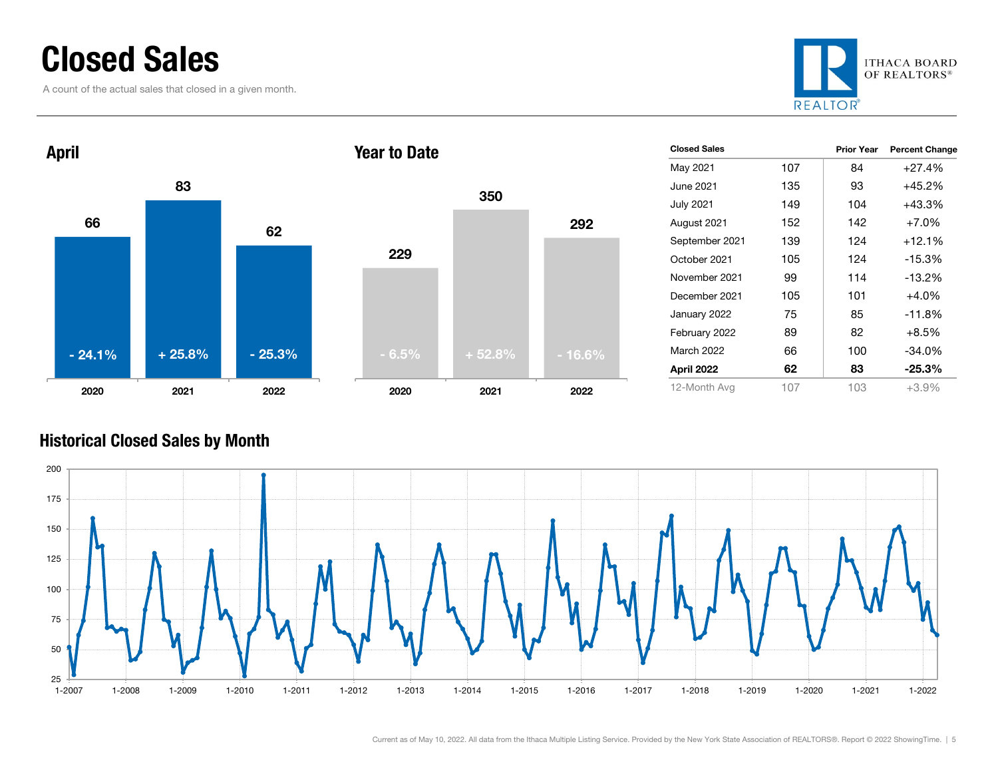### Closed Sales

A count of the actual sales that closed in a given month.





| <b>Closed Sales</b> |     | <b>Prior Year</b> | <b>Percent Change</b> |
|---------------------|-----|-------------------|-----------------------|
| May 2021            | 107 | 84                | $+27.4%$              |
| June 2021           | 135 | 93                | +45.2%                |
| <b>July 2021</b>    | 149 | 104               | $+43.3%$              |
| August 2021         | 152 | 142               | $+7.0%$               |
| September 2021      | 139 | 124               | $+12.1%$              |
| October 2021        | 105 | 124               | $-15.3%$              |
| November 2021       | 99  | 114               | $-13.2\%$             |
| December 2021       | 105 | 101               | $+4.0%$               |
| January 2022        | 75  | 85                | $-11.8%$              |
| February 2022       | 89  | 82                | $+8.5%$               |
| March 2022          | 66  | 100               | -34.0%                |
| April 2022          | 62  | 83                | -25.3%                |
| 12-Month Avg        | 107 | 103               | $+3.9%$               |

#### Historical Closed Sales by Month

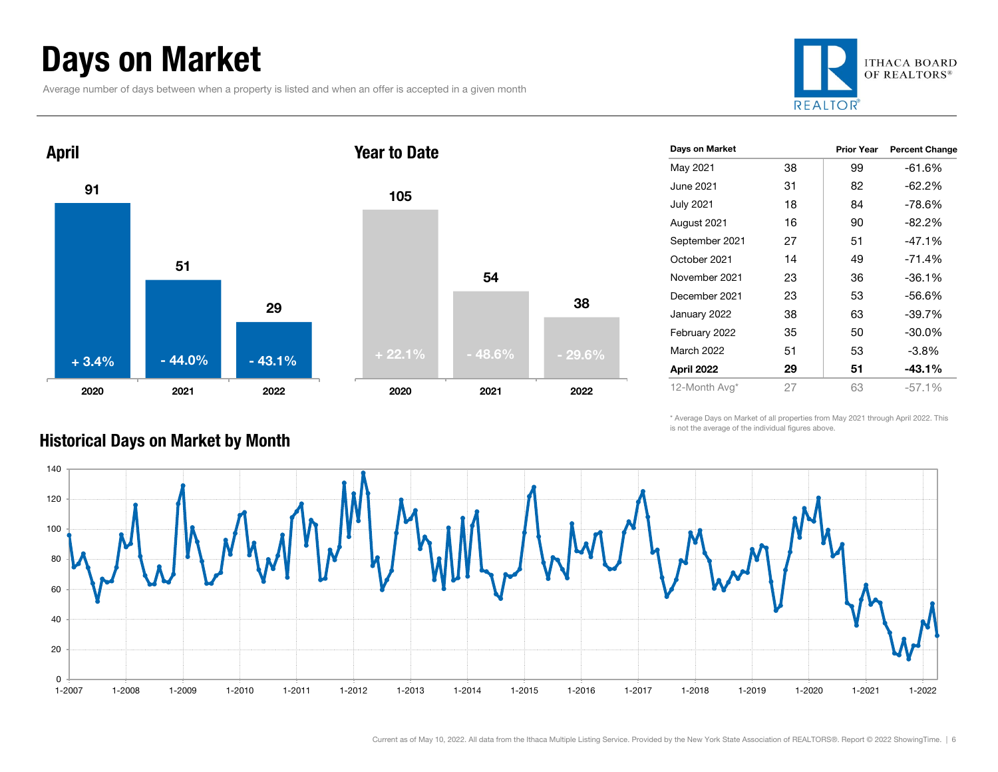### Days on Market

Average number of days between when a property is listed and when an offer is accepted in a given month





| IVAI IV PAIV |          |          |
|--------------|----------|----------|
| 105          |          |          |
|              |          |          |
|              | 54       |          |
|              |          | 38       |
|              |          |          |
| $+22.1%$     | $-48.6%$ | $-29.6%$ |
| 2020         | 2021     | 2022     |

| Days on Market   |    | <b>Prior Year</b> | <b>Percent Change</b> |
|------------------|----|-------------------|-----------------------|
| May 2021         | 38 | 99                | $-61.6%$              |
| June 2021        | 31 | 82                | -62.2%                |
| <b>July 2021</b> | 18 | 84                | -78.6%                |
| August 2021      | 16 | 90                | $-82.2%$              |
| September 2021   | 27 | 51                | $-47.1\%$             |
| October 2021     | 14 | 49                | $-71.4%$              |
| November 2021    | 23 | 36                | $-36.1%$              |
| December 2021    | 23 | 53                | $-56.6%$              |
| January 2022     | 38 | 63                | -39.7%                |
| February 2022    | 35 | 50                | $-30.0%$              |
| March 2022       | 51 | 53                | $-3.8\%$              |
| April 2022       | 29 | 51                | $-43.1%$              |
| 12-Month Avg*    | 27 | 63                | $-57.1%$              |

\* Average Days on Market of all properties from May 2021 through April 2022. This is not the average of the individual figures above.



### Historical Days on Market by Month

Current as of May 10, 2022. All data from the Ithaca Multiple Listing Service. Provided by the New York State Association of REALTORS®. Report © 2022 ShowingTime. | 6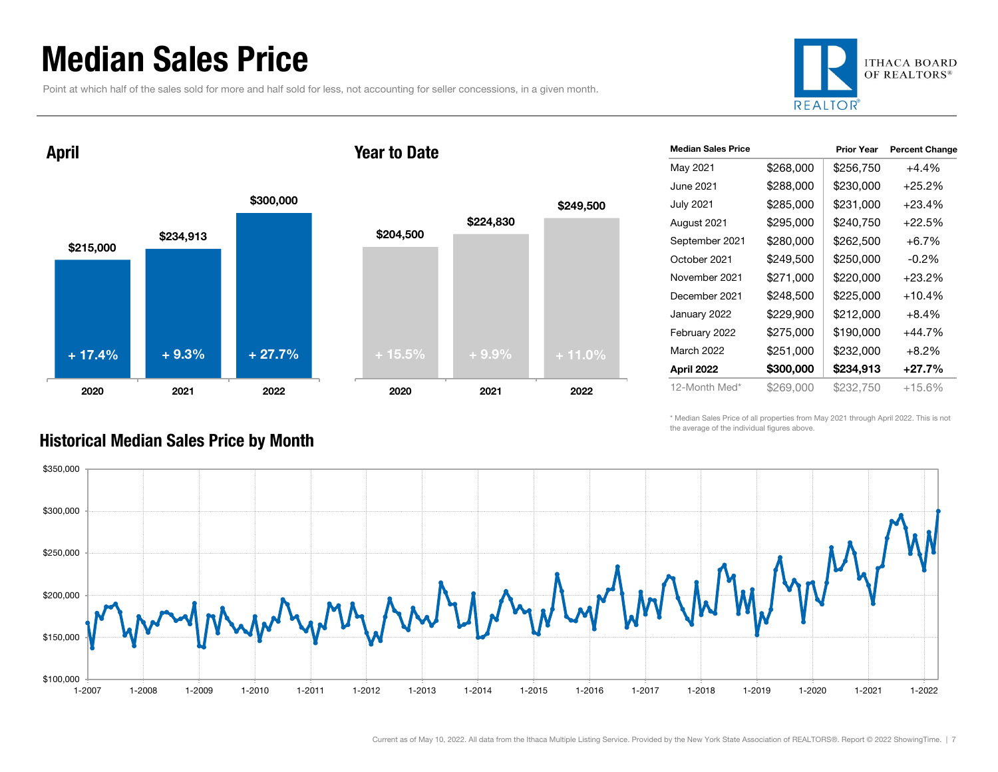### Median Sales Price

Point at which half of the sales sold for more and half sold for less, not accounting for seller concessions, in a given month.



April

#### Year to Date



| <b>Median Sales Price</b> |           | <b>Prior Year</b> | <b>Percent Change</b> |
|---------------------------|-----------|-------------------|-----------------------|
| May 2021                  | \$268,000 | \$256,750         | $+4.4%$               |
| June 2021                 | \$288,000 | \$230,000         | $+25.2\%$             |
| <b>July 2021</b>          | \$285,000 | \$231,000         | +23.4%                |
| August 2021               | \$295,000 | \$240,750         | +22.5%                |
| September 2021            | \$280,000 | \$262,500         | $+6.7\%$              |
| October 2021              | \$249,500 | \$250,000         | $-0.2\%$              |
| November 2021             | \$271,000 | \$220,000         | $+23.2\%$             |
| December 2021             | \$248,500 | \$225,000         | $+10.4%$              |
| January 2022              | \$229,900 | \$212,000         | $+8.4%$               |
| February 2022             | \$275,000 | \$190,000         | +44.7%                |
| March 2022                | \$251,000 | \$232,000         | $+8.2\%$              |
| April 2022                | \$300,000 | \$234,913         | +27.7%                |
| 12-Month Med*             | \$269,000 | \$232,750         | +15.6%                |

\* Median Sales Price of all properties from May 2021 through April 2022. This is not the average of the individual figures above.



#### Historical Median Sales Price by Month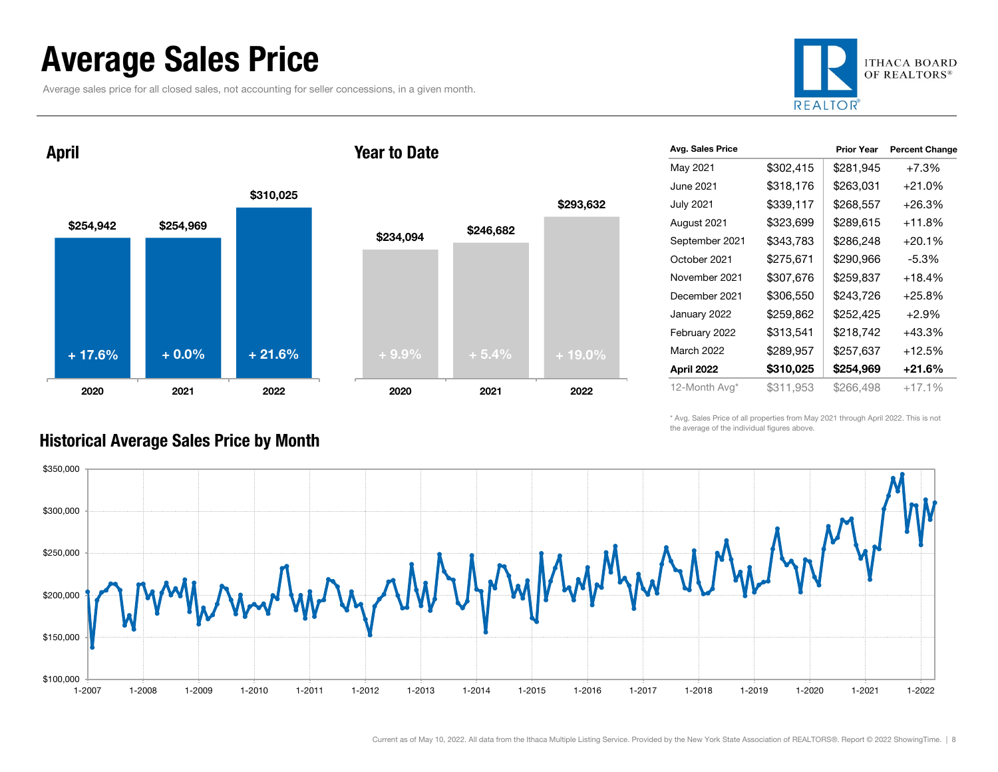### Average Sales Price

Average sales price for all closed sales, not accounting for seller concessions, in a given month.



April

#### Year to Date



| Avg. Sales Price  |           | <b>Prior Year</b> | <b>Percent Change</b> |
|-------------------|-----------|-------------------|-----------------------|
| May 2021          | \$302,415 | \$281,945         | $+7.3%$               |
| June 2021         | \$318,176 | \$263,031         | +21.0%                |
| <b>July 2021</b>  | \$339,117 | \$268,557         | +26.3%                |
| August 2021       | \$323,699 | \$289,615         | +11.8%                |
| September 2021    | \$343,783 | \$286,248         | $+20.1%$              |
| October 2021      | \$275,671 | \$290,966         | $-5.3%$               |
| November 2021     | \$307,676 | \$259,837         | +18.4%                |
| December 2021     | \$306,550 | \$243,726         | $+25.8\%$             |
| January 2022      | \$259,862 | \$252,425         | $+2.9%$               |
| February 2022     | \$313,541 | \$218,742         | +43.3%                |
| <b>March 2022</b> | \$289,957 | \$257,637         | +12.5%                |
| April 2022        | \$310,025 | \$254,969         | +21.6%                |
| 12-Month Avg*     | \$311,953 | \$266,498         | $+17.1%$              |

\* Avg. Sales Price of all properties from May 2021 through April 2022. This is not the average of the individual figures above.



#### Historical Average Sales Price by Month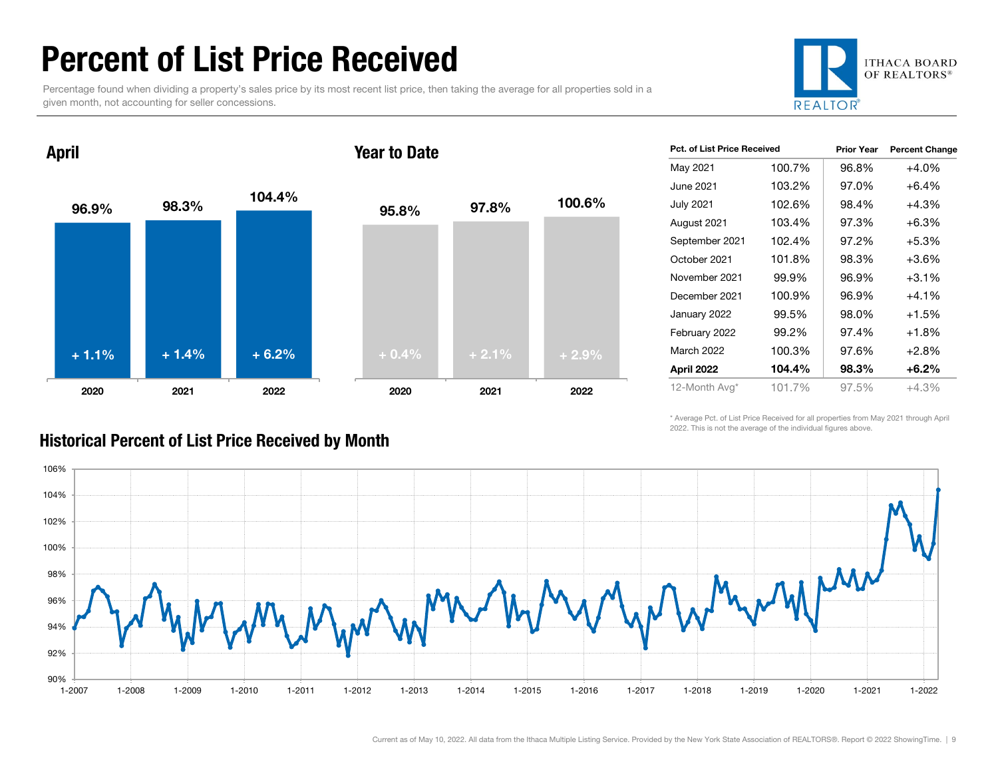### Percent of List Price Received

Percentage found when dividing a property's sales price by its most recent list price, then taking the average for all properties sold in a given month, not accounting for seller concessions.



### 96.9% 98.3% 104.4% 2020 2021 2022 April 95.8% 97.8% 100.6% 2020 2021 2022 Year to Date+ 1.1% $\%$  + 1.4% + 6.2% + 0.4% + 2.1% + 2.9%

| Pct. of List Price Received |        | <b>Prior Year</b> | <b>Percent Change</b> |
|-----------------------------|--------|-------------------|-----------------------|
| May 2021                    | 100.7% | 96.8%             | +4.0%                 |
| June 2021                   | 103.2% | 97.0%             | $+6.4%$               |
| July 2021                   | 102.6% | 98.4%             | +4.3%                 |
| August 2021                 | 103.4% | 97.3%             | $+6.3%$               |
| September 2021              | 102.4% | 97.2%             | $+5.3%$               |
| October 2021                | 101.8% | 98.3%             | $+3.6%$               |
| November 2021               | 99.9%  | 96.9%             | $+3.1%$               |
| December 2021               | 100.9% | 96.9%             | $+4.1%$               |
| January 2022                | 99.5%  | 98.0%             | $+1.5%$               |
| February 2022               | 99.2%  | 97.4%             | $+1.8%$               |
| <b>March 2022</b>           | 100.3% | 97.6%             | $+2.8%$               |
| April 2022                  | 104.4% | 98.3%             | $+6.2%$               |
| 12-Month Avg*               | 101.7% | 97.5%             | $+4.3%$               |

\* Average Pct. of List Price Received for all properties from May 2021 through April 2022. This is not the average of the individual figures above.



### Historical Percent of List Price Received by Month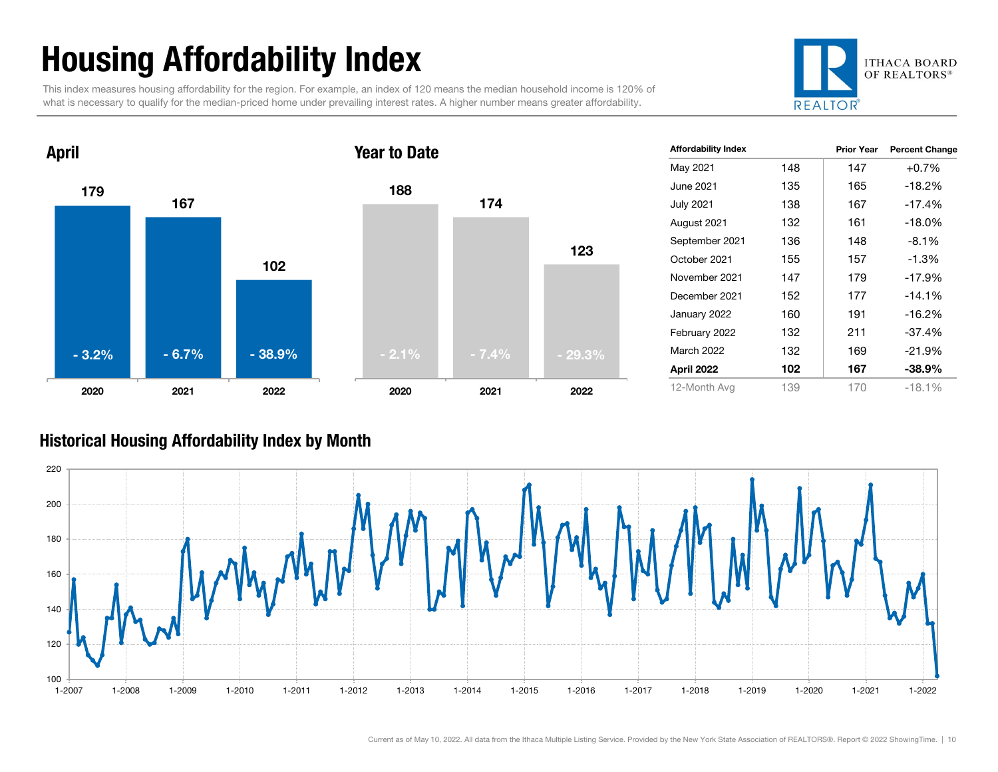## Housing Affordability Index

This index measures housing affordability for the region. For example, an index of 120 means the median household income is 120% of what is necessary to qualify for the median-priced home under prevailing interest rates. A higher number means greater affordability.





| <b>Affordability Index</b> |     | <b>Prior Year</b> | <b>Percent Change</b> |
|----------------------------|-----|-------------------|-----------------------|
| May 2021                   | 148 | 147               | $+0.7%$               |
| June 2021                  | 135 | 165               | $-18.2%$              |
| <b>July 2021</b>           | 138 | 167               | $-17.4%$              |
| August 2021                | 132 | 161               | $-18.0%$              |
| September 2021             | 136 | 148               | $-8.1\%$              |
| October 2021               | 155 | 157               | $-1.3%$               |
| November 2021              | 147 | 179               | $-17.9%$              |
| December 2021              | 152 | 177               | $-14.1%$              |
| January 2022               | 160 | 191               | $-16.2%$              |
| February 2022              | 132 | 211               | $-37.4%$              |
| March 2022                 | 132 | 169               | $-21.9%$              |
| April 2022                 | 102 | 167               | $-38.9%$              |
| 12-Month Avg               | 139 | 170               | $-18.1%$              |

#### Historical Housing Affordability Index by Mont h

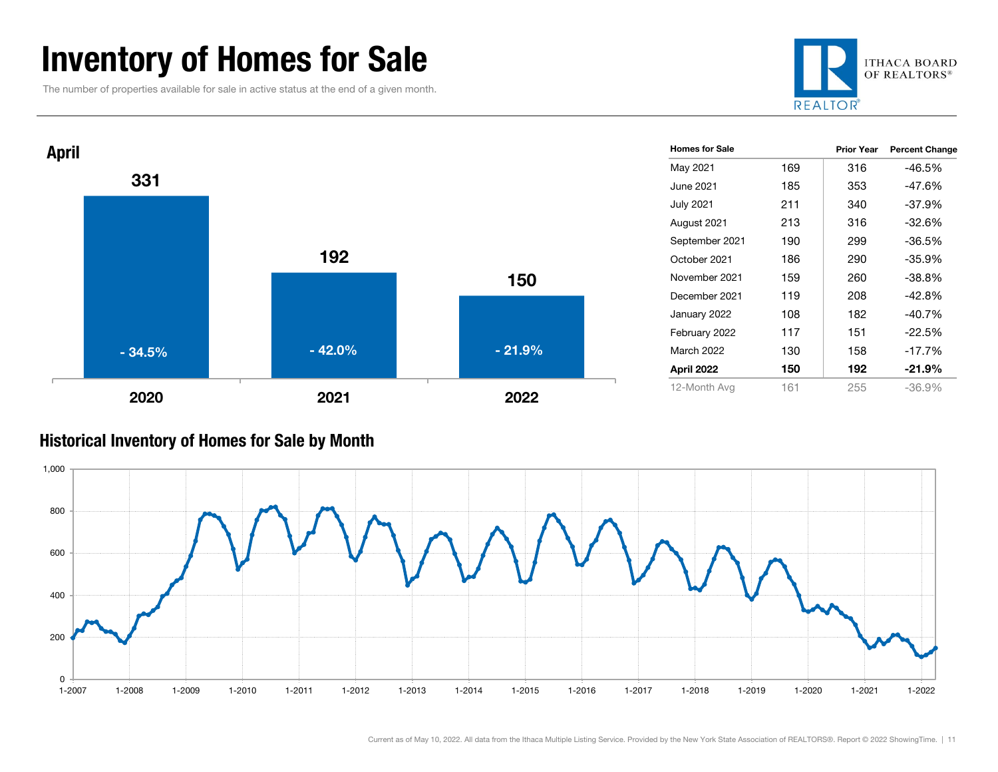### Inventory of Homes for Sale

The number of properties available for sale in active status at the end of a given month.





#### Historical Inventory of Homes for Sale by Month

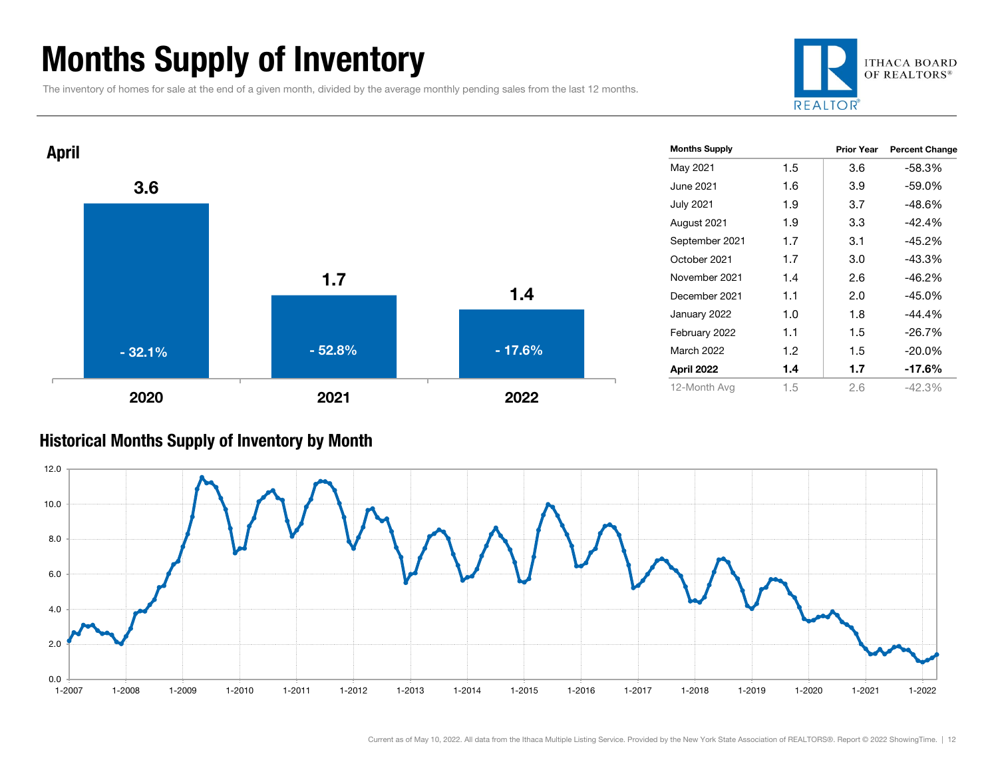### Months Supply of Inventory

The inventory of homes for sale at the end of a given month, divided by the average monthly pending sales from the last 12 months.





#### Historical Months Supply of Inventory by Month

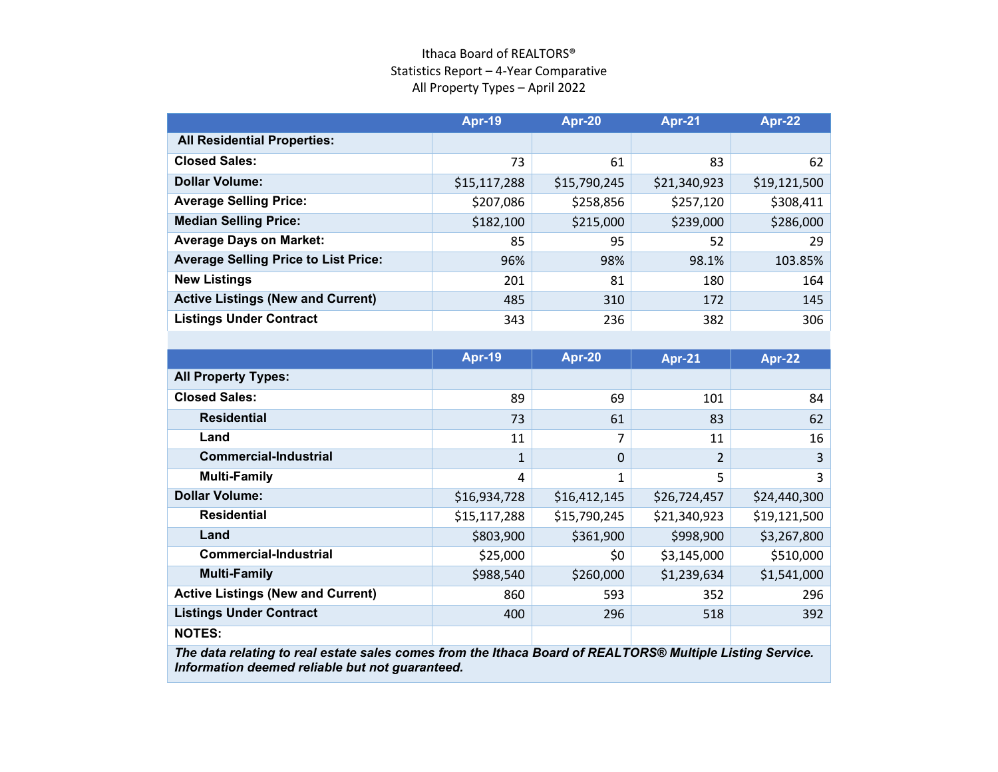#### Ithaca Board of REALTORS® Statistics Report – 4-Year Comparative All Property Types – April 2022

|                                             | <b>Apr-19</b> | <b>Apr-20</b> | <b>Apr-21</b> | <b>Apr-22</b> |
|---------------------------------------------|---------------|---------------|---------------|---------------|
| <b>All Residential Properties:</b>          |               |               |               |               |
| <b>Closed Sales:</b>                        | 73            | 61            | 83            | 62            |
| <b>Dollar Volume:</b>                       | \$15,117,288  | \$15,790,245  | \$21,340,923  | \$19,121,500  |
| <b>Average Selling Price:</b>               | \$207,086     | \$258,856     | \$257,120     | \$308,411     |
| <b>Median Selling Price:</b>                | \$182,100     | \$215,000     | \$239,000     | \$286,000     |
| <b>Average Days on Market:</b>              | 85            | 95            | 52            | 29            |
| <b>Average Selling Price to List Price:</b> | 96%           | 98%           | 98.1%         | 103.85%       |
| <b>New Listings</b>                         | 201           | 81            | 180           | 164           |
| <b>Active Listings (New and Current)</b>    | 485           | 310           | 172           | 145           |
| <b>Listings Under Contract</b>              | 343           | 236           | 382           | 306           |
|                                             |               |               |               |               |

|                                                                                                           | <b>Apr-19</b> | <b>Apr-20</b> | <b>Apr-21</b>  | Apr-22       |
|-----------------------------------------------------------------------------------------------------------|---------------|---------------|----------------|--------------|
| <b>All Property Types:</b>                                                                                |               |               |                |              |
| <b>Closed Sales:</b>                                                                                      | 89            | 69            | 101            | 84           |
| <b>Residential</b>                                                                                        | 73            | 61            | 83             | 62           |
| Land                                                                                                      | 11            | 7             | 11             | 16           |
| <b>Commercial-Industrial</b>                                                                              | 1             | 0             | $\overline{2}$ | 3            |
| <b>Multi-Family</b>                                                                                       | 4             | 1             | 5              | 3            |
| <b>Dollar Volume:</b>                                                                                     | \$16,934,728  | \$16,412,145  | \$26,724,457   | \$24,440,300 |
| <b>Residential</b>                                                                                        | \$15,117,288  | \$15,790,245  | \$21,340,923   | \$19,121,500 |
| Land                                                                                                      | \$803,900     | \$361,900     | \$998,900      | \$3,267,800  |
| <b>Commercial-Industrial</b>                                                                              | \$25,000      | \$0           | \$3,145,000    | \$510,000    |
| <b>Multi-Family</b>                                                                                       | \$988,540     | \$260,000     | \$1,239,634    | \$1,541,000  |
| <b>Active Listings (New and Current)</b>                                                                  | 860           | 593           | 352            | 296          |
| <b>Listings Under Contract</b>                                                                            | 400           | 296           | 518            | 392          |
| <b>NOTES:</b>                                                                                             |               |               |                |              |
| The deta relative to real estate sales somes from the libera Deard of DEAL TODO® Multiple Listing Consist |               |               |                |              |

*The data relating to real estate sales comes from the Ithaca Board of REALTORS® Multiple Listing Service. Information deemed reliable but not guaranteed.*